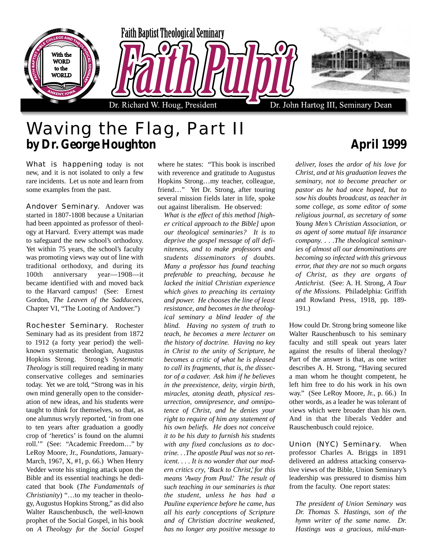

## Waving the Flag, Part II **by Dr. George Houghton April 1999**

What is happening today is not new, and it is not isolated to only a few rare incidents. Let us note and learn from some examples from the past.

Andover Seminary. Andover was started in 1807-1808 because a Unitarian had been appointed as professor of theology at Harvard. Every attempt was made to safeguard the new school's orthodoxy. Yet within 75 years, the school's faculty was promoting views way out of line with traditional orthodoxy, and during its 100th anniversary year—1908—it became identified with and moved back to the Harvard campus! (See: Ernest Gordon, *The Leaven of the Sadducees*, Chapter VI, "The Looting of Andover.")

Rochester Seminary. Rochester Seminary had as its president from 1872 to 1912 (a forty year period) the wellknown systematic theologian, Augustus Hopkins Strong. Strong's *Systematic Theology* is still required reading in many conservative colleges and seminaries today. Yet we are told, "Strong was in his own mind generally open to the consideration of new ideas, and his students were taught to think for themselves, so that, as one alumnus wryly reported, 'in from one to ten years after graduation a goodly crop of 'heretics' is found on the alumni roll.'" (See: "Academic Freedom…" by LeRoy Moore, Jr., *Foundations*, January-March, 1967, X, #1, p. 66.) When Henry Vedder wrote his stinging attack upon the Bible and its essential teachings he dedicated that book (*The Fundamentals of Christianity*) "…to my teacher in theology, Augustus Hopkins Strong," as did also Walter Rauschenbusch, the well-known prophet of the Social Gospel, in his book on *A Theology for the Social Gospel*

where he states: "This book is inscribed with reverence and gratitude to Augustus Hopkins Strong…my teacher, colleague, friend…" Yet Dr. Strong, after touring several mission fields later in life, spoke out against liberalism. He observed:

*What is the effect of this method [higher critical approach to the Bible] upon our theological seminaries? It is to deprive the gospel message of all definiteness, and to make professors and students disseminators of doubts. Many a professor has found teaching preferable to preaching, because he lacked the initial Christian experience which gives to preaching its certainty and power. He chooses the line of least resistance, and becomes in the theological seminary a blind leader of the blind. Having no system of truth to teach, he becomes a mere lecturer on the history of doctrine. Having no key in Christ to the unity of Scripture, he becomes a critic of what he is pleased to call its fragments, that is, the dissector of a cadaver. Ask him if he believes in the preexistence, deity, virgin birth, miracles, atoning death, physical resurrection, omnipresence, and omnipotence of Christ, and he denies your right to require of him any statement of his own beliefs. He does not conceive it to be his duty to furnish his students with any fixed conclusions as to doctrine. . .The apostle Paul was not so reticent. . . . It is no wonder that our modern critics cry, 'Back to Christ,' for this means 'Away from Paul.' The result of such teaching in our seminaries is that the student, unless he has had a Pauline experience before he came, has all his early conceptions of Scripture and of Christian doctrine weakened, has no longer any positive message to*

*deliver, loses the ardor of his love for Christ, and at his graduation leaves the seminary, not to become preacher or pastor as he had once hoped, but to sow his doubts broadcast, as teacher in some college, as some editor of some religious journal, as secretary of some Young Men's Christian Association, or as agent of some mutual life insurance company. . . .The theological seminaries of almost all our denominations are becoming so infected with this grievous error, that they are not so much organs of Christ, as they are organs of Antichrist.* (See: A. H. Strong, *A Tour of the Missions*. Philadelphia: Griffith and Rowland Press, 1918, pp. 189- 191.)

How could Dr. Strong bring someone like Walter Rauschenbusch to his seminary faculty and still speak out years later against the results of liberal theology? Part of the answer is that, as one writer describes A. H. Strong, "Having secured a man whom he thought competent, he left him free to do his work in his own way." (See LeRoy Moore, Jr., p. 66.) In other words, as a leader he was tolerant of views which were broader than his own. And in that the liberals Vedder and Rauschenbusch could rejoice.

Union (NYC) Seminary. When professor Charles A. Briggs in 1891 delivered an address attacking conservative views of the Bible, Union Seminary's leadership was pressured to dismiss him from the faculty. One report states:

*The president of Union Seminary was Dr. Thomas S. Hastings, son of the hymn writer of the same name. Dr. Hastings was a gracious, mild-man-*